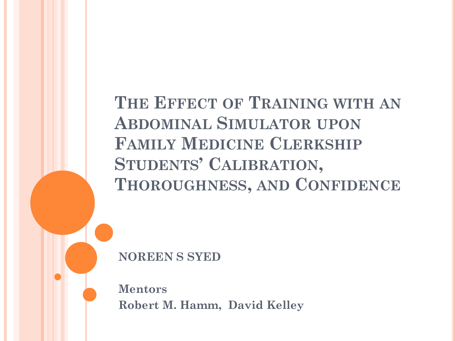**THE EFFECT OF TRAINING WITH AN ABDOMINAL SIMULATOR UPON FAMILY MEDICINE CLERKSHIP STUDENTS' CALIBRATION, THOROUGHNESS, AND CONFIDENCE**

**NOREEN S SYED**

**Mentors Robert M. Hamm, David Kelley**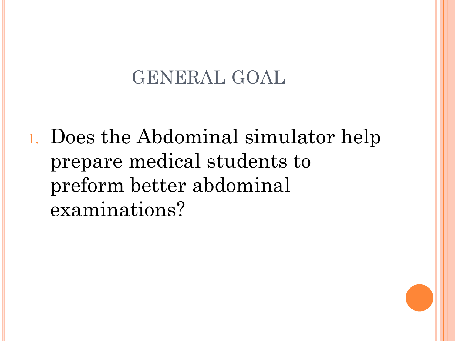### GENERAL GOAL

1. Does the Abdominal simulator help prepare medical students to preform better abdominal examinations?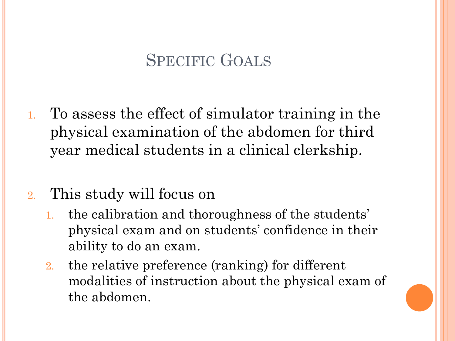#### SPECIFIC GOALS

1. To assess the effect of simulator training in the physical examination of the abdomen for third year medical students in a clinical clerkship.

#### 2. This study will focus on

- 1. the calibration and thoroughness of the students' physical exam and on students' confidence in their ability to do an exam.
- 2. the relative preference (ranking) for different modalities of instruction about the physical exam of the abdomen.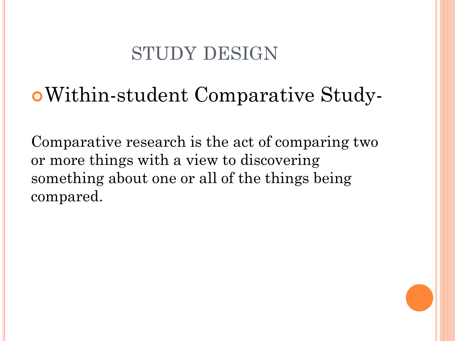## STUDY DESIGN

# Within-student Comparative Study-

Comparative research is the act of comparing two or more things with a view to discovering something about one or all of the things being compared.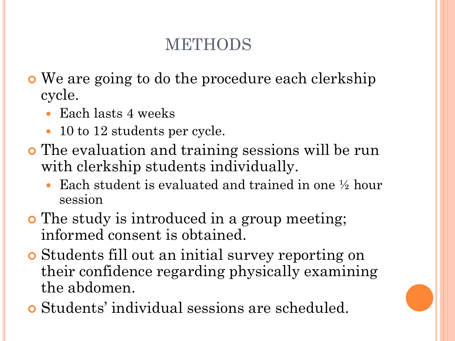### METHODS

- We are going to do the procedure each clerkship cycle.
	- Each lasts 4 weeks
	- 10 to 12 students per cycle.
- The evaluation and training sessions will be run with clerkship students individually.
	- Each student is evaluated and trained in one ½ hour session
- **o** The study is introduced in a group meeting; informed consent is obtained.
- Students fill out an initial survey reporting on their confidence regarding physically examining the abdomen.
- Students' individual sessions are scheduled.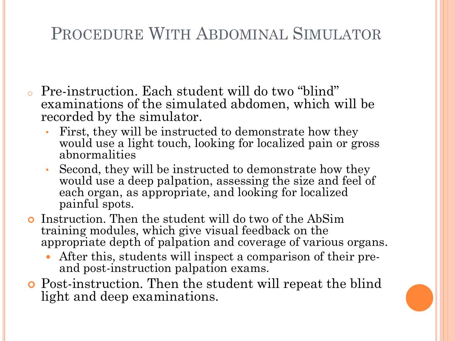#### PROCEDURE WITH ABDOMINAL SIMULATOR

- o Pre-instruction. Each student will do two "blind" examinations of the simulated abdomen, which will be recorded by the simulator.
	- First, they will be instructed to demonstrate how they would use a light touch, looking for localized pain or gross abnormalities
	- Second, they will be instructed to demonstrate how they would use a deep palpation, assessing the size and feel of each organ, as appropriate, and looking for localized painful spots.
- Instruction. Then the student will do two of the AbSim training modules, which give visual feedback on the appropriate depth of palpation and coverage of various organs.
	- After this, students will inspect a comparison of their preand post-instruction palpation exams.
- Post-instruction. Then the student will repeat the blind light and deep examinations.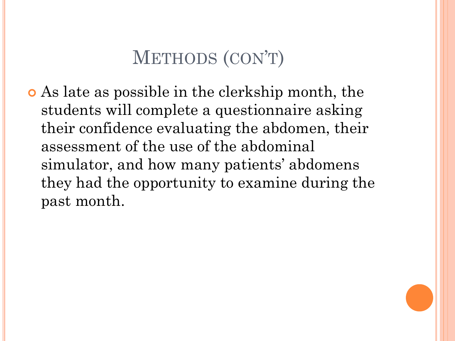## METHODS (CON'T)

 As late as possible in the clerkship month, the students will complete a questionnaire asking their confidence evaluating the abdomen, their assessment of the use of the abdominal simulator, and how many patients' abdomens they had the opportunity to examine during the past month.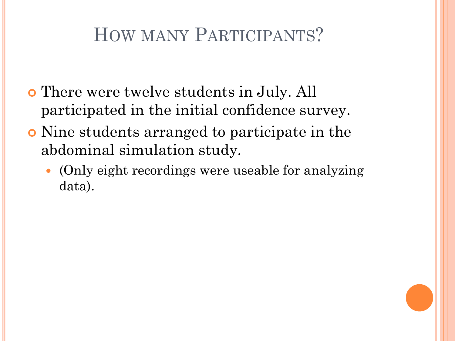## HOW MANY PARTICIPANTS?

- There were twelve students in July. All participated in the initial confidence survey.
- Nine students arranged to participate in the abdominal simulation study.
	- (Only eight recordings were useable for analyzing data).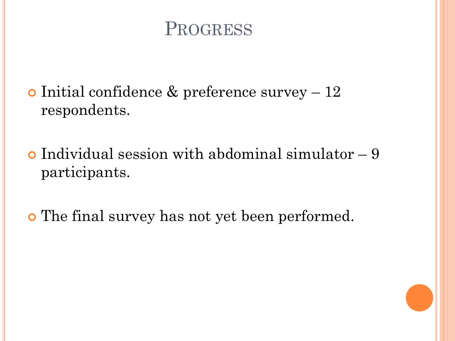#### PROGRESS

 $\bullet$  Initial confidence & preference survey  $-12$ respondents.

 $\bullet$  Individual session with abdominal simulator  $-9$ participants.

The final survey has not yet been performed.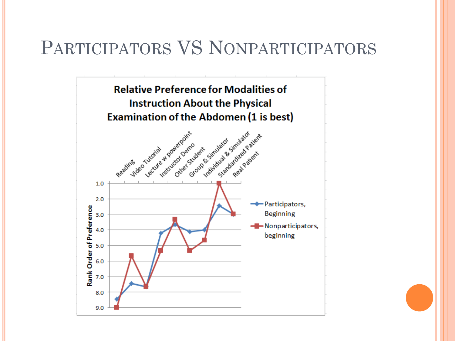#### PARTICIPATORS VS NONPARTICIPATORS



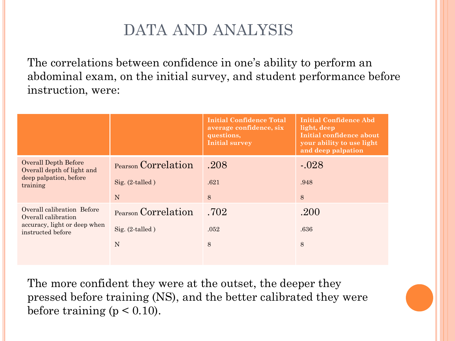#### DATA AND ANALYSIS

The correlations between confidence in one's ability to perform an abdominal exam, on the initial survey, and student performance before instruction, were:

|                                                                                                        |                                                | <b>Initial Confidence Total</b><br>average confidence, six<br>questions,<br><b>Initial survey</b> | <b>Initial Confidence Abd</b><br>light, deep<br>Initial confidence about<br>your ability to use light<br>and deep palpation |
|--------------------------------------------------------------------------------------------------------|------------------------------------------------|---------------------------------------------------------------------------------------------------|-----------------------------------------------------------------------------------------------------------------------------|
| <b>Overall Depth Before</b><br>Overall depth of light and<br>deep palpation, before<br>training        | Pearson Correlation<br>Sig. $(2$ -talled)<br>N | .208<br>.621<br>8                                                                                 | $-.028$<br>.948<br>8                                                                                                        |
| Overall calibration Before<br>Overall calibration<br>accuracy, light or deep when<br>instructed before | Pearson Correlation<br>Sig. $(2$ -talled)<br>N | .702<br>.052<br>8                                                                                 | .200<br>.636<br>8                                                                                                           |

The more confident they were at the outset, the deeper they pressed before training (NS), and the better calibrated they were before training ( $p < 0.10$ ).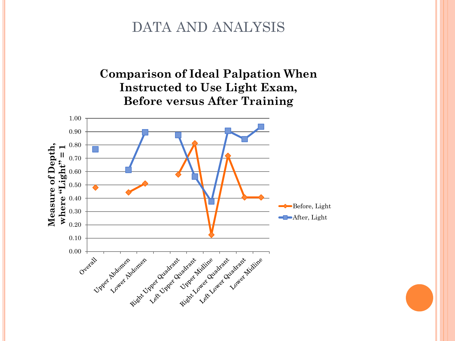#### DATA AND ANALYSIS

#### **Comparison of Ideal Palpation When Instructed to Use Light Exam, Before versus After Training**

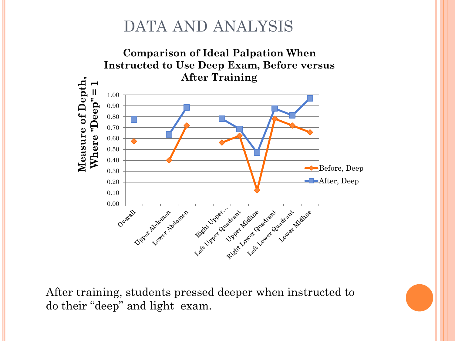#### DATA AND ANALYSIS



After training, students pressed deeper when instructed to do their "deep" and light exam.